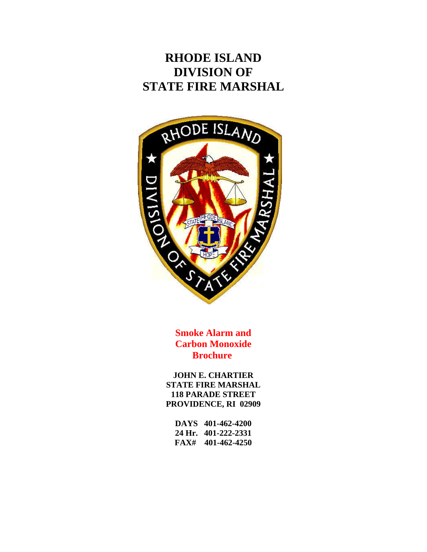# **RHODE ISLAND DIVISION OF STATE FIRE MARSHAL**



 **Smoke Alarm and Carbon Monoxide Brochure** 

**JOHN E. CHARTIER STATE FIRE MARSHAL 118 PARADE STREET PROVIDENCE, RI 02909** 

| DAYS 401-462-4200   |
|---------------------|
| 24 Hr. 401-222-2331 |
| $FAX#$ 401-462-4250 |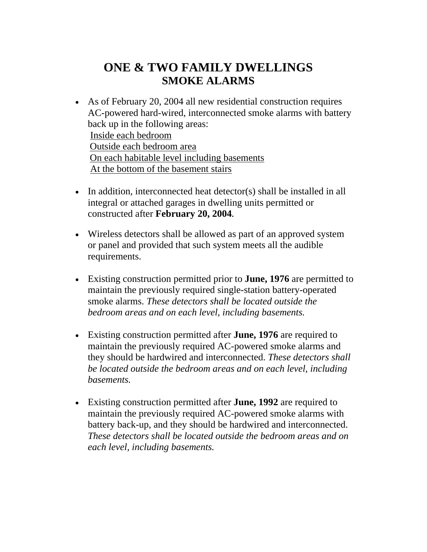### **ONE & TWO FAMILY DWELLINGS SMOKE ALARMS**

- As of February 20, 2004 all new residential construction requires AC-powered hard-wired, interconnected smoke alarms with battery back up in the following areas: Inside each bedroom Outside each bedroom area On each habitable level including basements At the bottom of the basement stairs
- In addition, interconnected heat detector(s) shall be installed in all integral or attached garages in dwelling units permitted or constructed after **February 20, 2004.**
- Wireless detectors shall be allowed as part of an approved system or panel and provided that such system meets all the audible requirements.
- Existing construction permitted prior to **June, 1976** are permitted to maintain the previously required single-station battery-operated smoke alarms. *These detectors shall be located outside the bedroom areas and on each level, including basements.*
- Existing construction permitted after **June, 1976** are required to maintain the previously required AC-powered smoke alarms and they should be hardwired and interconnected. *These detectors shall be located outside the bedroom areas and on each level, including basements.*
- Existing construction permitted after **June, 1992** are required to maintain the previously required AC-powered smoke alarms with battery back-up, and they should be hardwired and interconnected. *These detectors shall be located outside the bedroom areas and on each level, including basements.*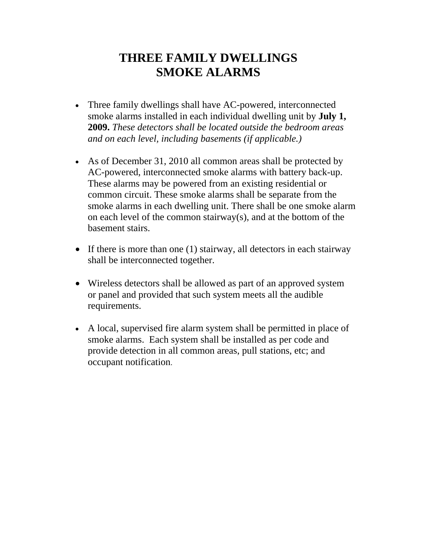## **THREE FAMILY DWELLINGS SMOKE ALARMS**

- Three family dwellings shall have AC-powered, interconnected smoke alarms installed in each individual dwelling unit by **July 1, 2009.** *These detectors shall be located outside the bedroom areas and on each level, including basements (if applicable.)*
- As of December 31, 2010 all common areas shall be protected by AC-powered, interconnected smoke alarms with battery back-up. These alarms may be powered from an existing residential or common circuit. These smoke alarms shall be separate from the smoke alarms in each dwelling unit. There shall be one smoke alarm on each level of the common stairway(s), and at the bottom of the basement stairs.
- If there is more than one (1) stairway, all detectors in each stairway shall be interconnected together.
- Wireless detectors shall be allowed as part of an approved system or panel and provided that such system meets all the audible requirements.
- A local, supervised fire alarm system shall be permitted in place of smoke alarms. Each system shall be installed as per code and provide detection in all common areas, pull stations, etc; and occupant notification.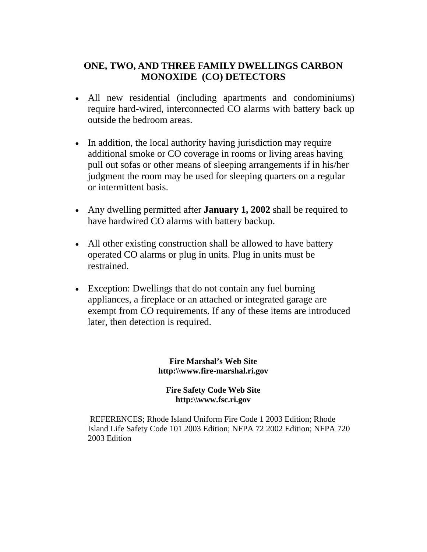#### **ONE, TWO, AND THREE FAMILY DWELLINGS CARBON MONOXIDE (CO) DETECTORS**

- All new residential (including apartments and condominiums) require hard-wired, interconnected CO alarms with battery back up outside the bedroom areas.
- In addition, the local authority having jurisdiction may require additional smoke or CO coverage in rooms or living areas having pull out sofas or other means of sleeping arrangements if in his/her judgment the room may be used for sleeping quarters on a regular or intermittent basis.
- Any dwelling permitted after **January 1, 2002** shall be required to have hardwired CO alarms with battery backup.
- All other existing construction shall be allowed to have battery operated CO alarms or plug in units. Plug in units must be restrained.
- Exception: Dwellings that do not contain any fuel burning appliances, a fireplace or an attached or integrated garage are exempt from CO requirements. If any of these items are introduced later, then detection is required.

**Fire Marshal's Web Site http:\\www.fire-marshal.ri.gov** 

**Fire Safety Code Web Site http:\\www.fsc.ri.gov** 

 REFERENCES; Rhode Island Uniform Fire Code 1 2003 Edition; Rhode Island Life Safety Code 101 2003 Edition; NFPA 72 2002 Edition; NFPA 720 2003 Edition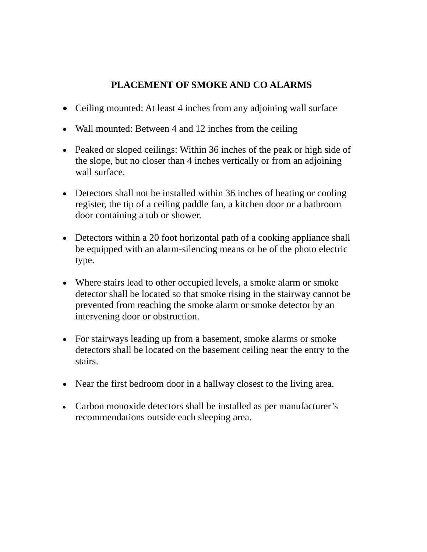### **PLACEMENT OF SMOKE AND CO ALARMS**

- Ceiling mounted: At least 4 inches from any adjoining wall surface
- Wall mounted: Between 4 and 12 inches from the ceiling
- Peaked or sloped ceilings: Within 36 inches of the peak or high side of the slope, but no closer than 4 inches vertically or from an adjoining wall surface.
- Detectors shall not be installed within 36 inches of heating or cooling register, the tip of a ceiling paddle fan, a kitchen door or a bathroom door containing a tub or shower.
- Detectors within a 20 foot horizontal path of a cooking appliance shall be equipped with an alarm-silencing means or be of the photo electric type.
- Where stairs lead to other occupied levels, a smoke alarm or smoke detector shall be located so that smoke rising in the stairway cannot be prevented from reaching the smoke alarm or smoke detector by an intervening door or obstruction.
- For stairways leading up from a basement, smoke alarms or smoke detectors shall be located on the basement ceiling near the entry to the stairs.
- Near the first bedroom door in a hallway closest to the living area.
- Carbon monoxide detectors shall be installed as per manufacturer's recommendations outside each sleeping area.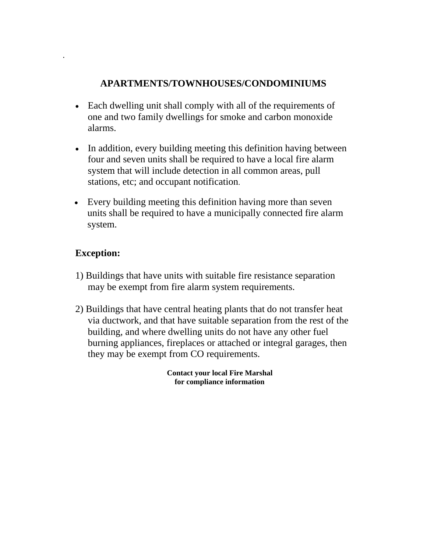### **APARTMENTS/TOWNHOUSES/CONDOMINIUMS**

- Each dwelling unit shall comply with all of the requirements of one and two family dwellings for smoke and carbon monoxide alarms.
- In addition, every building meeting this definition having between four and seven units shall be required to have a local fire alarm system that will include detection in all common areas, pull stations, etc; and occupant notification.
- Every building meeting this definition having more than seven units shall be required to have a municipally connected fire alarm system.

### **Exception:**

.

- 1) Buildings that have units with suitable fire resistance separation may be exempt from fire alarm system requirements.
- 2) Buildings that have central heating plants that do not transfer heat via ductwork, and that have suitable separation from the rest of the building, and where dwelling units do not have any other fuel burning appliances, fireplaces or attached or integral garages, then they may be exempt from CO requirements.

 **Contact your local Fire Marshal for compliance information**